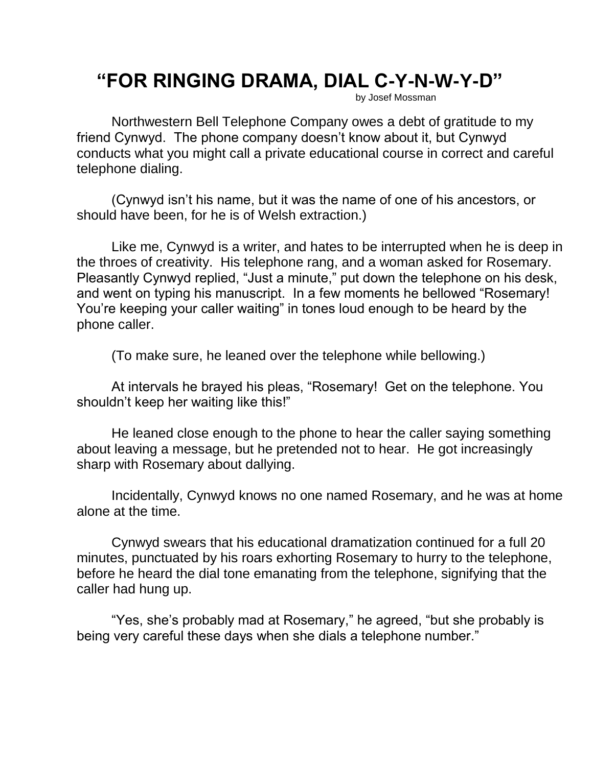## **"FOR RINGING DRAMA, DIAL C-Y-N-W-Y-D"**

by Josef Mossman

Northwestern Bell Telephone Company owes a debt of gratitude to my friend Cynwyd. The phone company doesn't know about it, but Cynwyd conducts what you might call a private educational course in correct and careful telephone dialing.

(Cynwyd isn't his name, but it was the name of one of his ancestors, or should have been, for he is of Welsh extraction.)

Like me, Cynwyd is a writer, and hates to be interrupted when he is deep in the throes of creativity. His telephone rang, and a woman asked for Rosemary. Pleasantly Cynwyd replied, "Just a minute," put down the telephone on his desk, and went on typing his manuscript. In a few moments he bellowed "Rosemary! You're keeping your caller waiting" in tones loud enough to be heard by the phone caller.

(To make sure, he leaned over the telephone while bellowing.)

At intervals he brayed his pleas, "Rosemary! Get on the telephone. You shouldn't keep her waiting like this!"

He leaned close enough to the phone to hear the caller saying something about leaving a message, but he pretended not to hear. He got increasingly sharp with Rosemary about dallying.

Incidentally, Cynwyd knows no one named Rosemary, and he was at home alone at the time.

Cynwyd swears that his educational dramatization continued for a full 20 minutes, punctuated by his roars exhorting Rosemary to hurry to the telephone, before he heard the dial tone emanating from the telephone, signifying that the caller had hung up.

"Yes, she's probably mad at Rosemary," he agreed, "but she probably is being very careful these days when she dials a telephone number."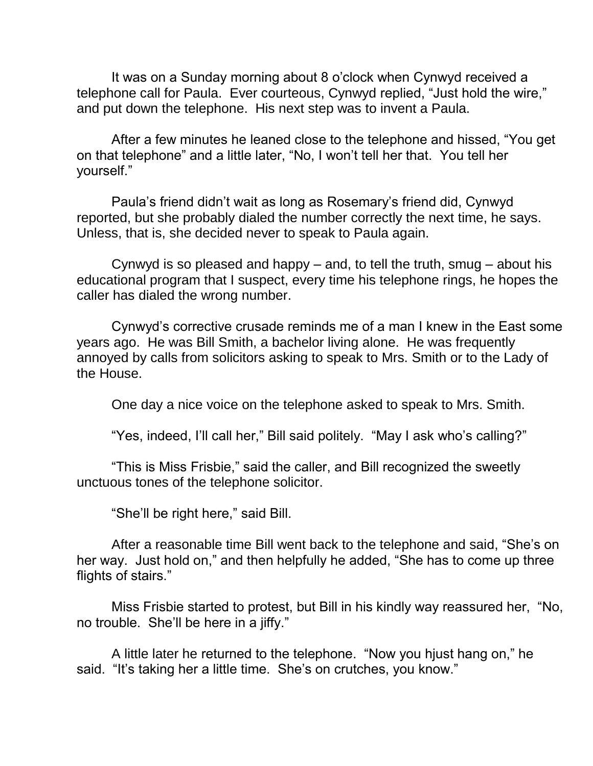It was on a Sunday morning about 8 o'clock when Cynwyd received a telephone call for Paula. Ever courteous, Cynwyd replied, "Just hold the wire," and put down the telephone. His next step was to invent a Paula.

After a few minutes he leaned close to the telephone and hissed, "You get on that telephone" and a little later, "No, I won't tell her that. You tell her yourself."

Paula's friend didn't wait as long as Rosemary's friend did, Cynwyd reported, but she probably dialed the number correctly the next time, he says. Unless, that is, she decided never to speak to Paula again.

Cynwyd is so pleased and happy – and, to tell the truth, smug – about his educational program that I suspect, every time his telephone rings, he hopes the caller has dialed the wrong number.

Cynwyd's corrective crusade reminds me of a man I knew in the East some years ago. He was Bill Smith, a bachelor living alone. He was frequently annoyed by calls from solicitors asking to speak to Mrs. Smith or to the Lady of the House.

One day a nice voice on the telephone asked to speak to Mrs. Smith.

"Yes, indeed, I'll call her," Bill said politely. "May I ask who's calling?"

"This is Miss Frisbie," said the caller, and Bill recognized the sweetly unctuous tones of the telephone solicitor.

"She'll be right here," said Bill.

After a reasonable time Bill went back to the telephone and said, "She's on her way. Just hold on," and then helpfully he added, "She has to come up three flights of stairs."

Miss Frisbie started to protest, but Bill in his kindly way reassured her, "No, no trouble. She'll be here in a jiffy."

A little later he returned to the telephone. "Now you hjust hang on," he said. "It's taking her a little time. She's on crutches, you know."